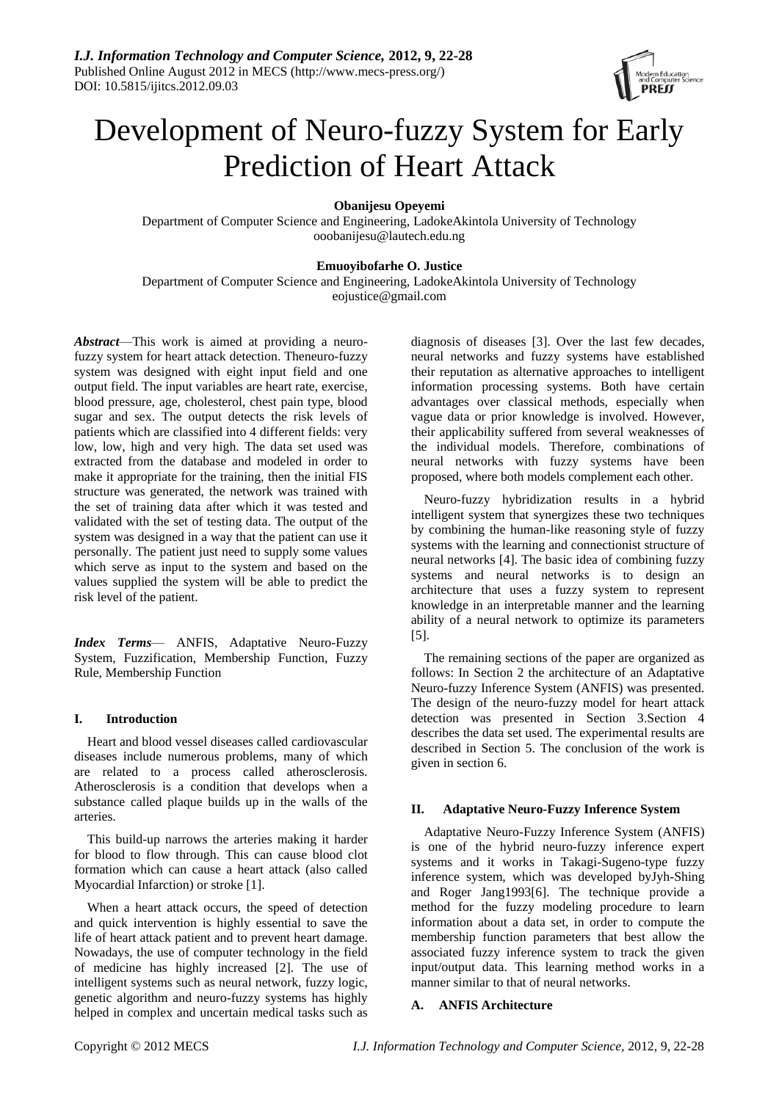

# Development of Neuro-fuzzy System for Early Prediction of Heart Attack

**Obanijesu Opeyemi**

Department of Computer Science and Engineering, LadokeAkintola University of Technology ooobanijesu@lautech.edu.ng

# **Emuoyibofarhe O. Justice**

Department of Computer Science and Engineering, LadokeAkintola University of Technology eojustice@gmail.com

*Abstract*—This work is aimed at providing a neurofuzzy system for heart attack detection. Theneuro-fuzzy system was designed with eight input field and one output field. The input variables are heart rate, exercise, blood pressure, age, cholesterol, chest pain type, blood sugar and sex. The output detects the risk levels of patients which are classified into 4 different fields: very low, low, high and very high. The data set used was extracted from the database and modeled in order to make it appropriate for the training, then the initial FIS structure was generated, the network was trained with the set of training data after which it was tested and validated with the set of testing data. The output of the system was designed in a way that the patient can use it personally. The patient just need to supply some values which serve as input to the system and based on the values supplied the system will be able to predict the risk level of the patient.

*Index Terms*— ANFIS, Adaptative Neuro-Fuzzy System, Fuzzification, Membership Function, Fuzzy Rule, Membership Function

# **I. Introduction**

Heart and blood vessel diseases called cardiovascular diseases include numerous problems, many of which are related to a process called atherosclerosis. Atherosclerosis is a condition that develops when a substance called plaque builds up in the walls of the arteries.

This build-up narrows the arteries making it harder for blood to flow through. This can cause blood clot formation which can cause a heart attack (also called Myocardial Infarction) or stroke [1].

When a heart attack occurs, the speed of detection and quick intervention is highly essential to save the life of heart attack patient and to prevent heart damage. Nowadays, the use of computer technology in the field of medicine has highly increased [2]. The use of intelligent systems such as neural network, fuzzy logic, genetic algorithm and neuro-fuzzy systems has highly helped in complex and uncertain medical tasks such as

diagnosis of diseases [3]. Over the last few decades, neural networks and fuzzy systems have established their reputation as alternative approaches to intelligent information processing systems. Both have certain advantages over classical methods, especially when vague data or prior knowledge is involved. However, their applicability suffered from several weaknesses of the individual models. Therefore, combinations of neural networks with fuzzy systems have been proposed, where both models complement each other.

Neuro-fuzzy hybridization results in a hybrid intelligent system that synergizes these two techniques by combining the human-like reasoning style of fuzzy systems with the learning and connectionist structure of neural networks [4]. The basic idea of combining fuzzy systems and neural networks is to design an architecture that uses a fuzzy system to represent knowledge in an interpretable manner and the learning ability of a neural network to optimize its parameters [5].

The remaining sections of the paper are organized as follows: In Section 2 the architecture of an Adaptative Neuro-fuzzy Inference System (ANFIS) was presented. The design of the neuro-fuzzy model for heart attack detection was presented in Section 3.Section 4 describes the data set used. The experimental results are described in Section 5. The conclusion of the work is given in section 6.

# **II. Adaptative Neuro-Fuzzy Inference System**

Adaptative Neuro-Fuzzy Inference System (ANFIS) is one of the hybrid neuro-fuzzy inference expert systems and it works in Takagi-Sugeno-type fuzzy inference system, which was developed byJyh-Shing and Roger Jang1993[6]. The technique provide a method for the fuzzy modeling procedure to learn information about a data set, in order to compute the membership function parameters that best allow the associated fuzzy inference system to track the given input/output data. This learning method works in a manner similar to that of neural networks.

## **A. ANFIS Architecture**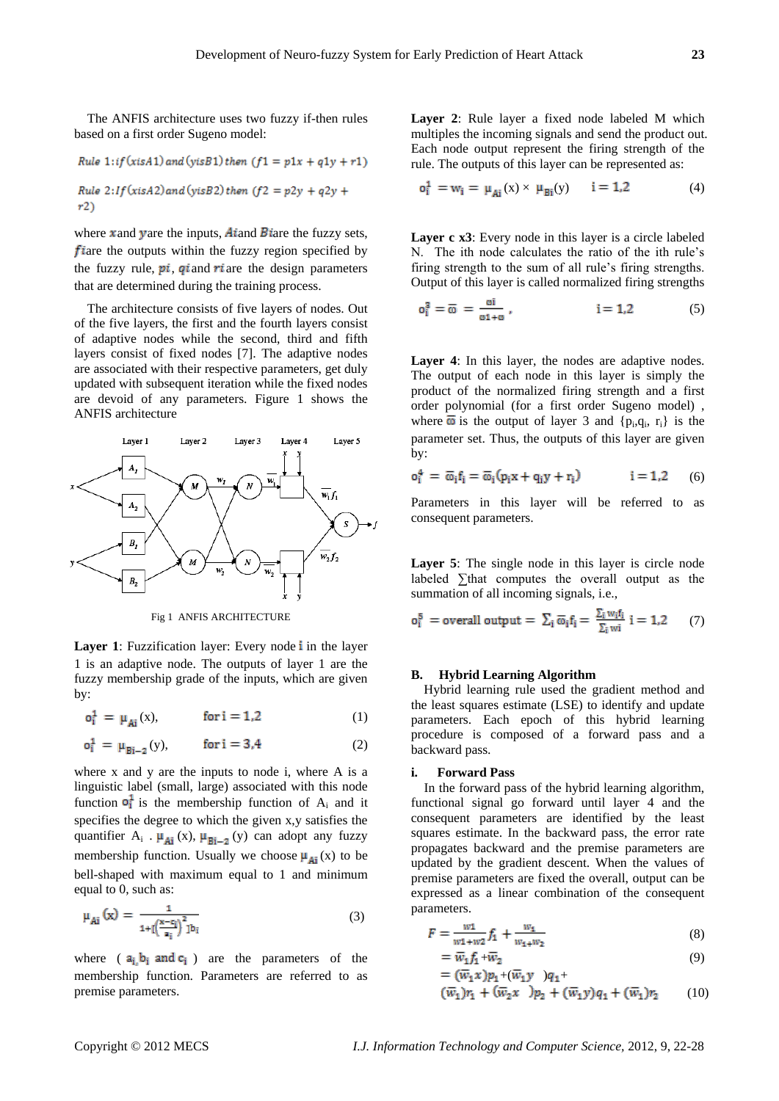The ANFIS architecture uses two fuzzy if-then rules based on a first order Sugeno model:

Rule 1:if (xisA1) and (visB1) then 
$$
(f1 = p1x + q1y + r1)
$$
  
Rule 2:If (xisA2) and (visB2) then  $(f2 = p2y + q2y + r2)$ 

 $\mathbf{r}$ 

where x and yare the inputs, At and B tare the fuzzy sets,  $f$  are the outputs within the fuzzy region specified by the fuzzy rule,  $pi$ , gi and ri are the design parameters that are determined during the training process.

The architecture consists of five layers of nodes. Out of the five layers, the first and the fourth layers consist of adaptive nodes while the second, third and fifth layers consist of fixed nodes [7]. The adaptive nodes are associated with their respective parameters, get duly updated with subsequent iteration while the fixed nodes are devoid of any parameters. Figure 1 shows the ANFIS architecture



Fig 1 ANFIS ARCHITECTURE

**Layer 1**: Fuzzification layer: Every node *i* in the layer 1 is an adaptive node. The outputs of layer 1 are the fuzzy membership grade of the inputs, which are given by:

 $o_1^1 = \mu_{Ai}(x),$  for  $i = 1,2$  (1)

$$
o_i^1 = \mu_{Bi-2}(y), \qquad \text{for } i = 3,4 \tag{2}
$$

where x and y are the inputs to node i, where A is a linguistic label (small, large) associated with this node function  $\sigma_i^1$  is the membership function of A<sub>i</sub> and it specifies the degree to which the given x,y satisfies the quantifier  $A_i$ .  $\mu_{Ai}(x)$ ,  $\mu_{Bi-2}(y)$  can adopt any fuzzy membership function. Usually we choose  $\mu_{Ai}(x)$  to be bell-shaped with maximum equal to 1 and minimum equal to 0, such as:

$$
\mu_{Ai}\left(x\right) = \frac{1}{1 + \left[\left(\frac{x - c_i}{a}\right)^2\right] b_i} \tag{3}
$$

where  $(a_i, b_i \text{ and } c_i)$  are the parameters of the membership function. Parameters are referred to as premise parameters.

**Layer 2**: Rule layer a fixed node labeled M which multiples the incoming signals and send the product out. Each node output represent the firing strength of the rule. The outputs of this layer can be represented as:

$$
o_i^1 = w_i = \mu_{Ai}(x) \times \mu_{Bi}(y) \qquad i = 1,2 \tag{4}
$$

Laver c x3: Every node in this layer is a circle labeled N. The ith node calculates the ratio of the ith rule's firing strength to the sum of all rule's firing strengths. Output of this layer is called normalized firing strengths

$$
o_1^3 = \overline{\omega} = \frac{\omega i}{\omega 1 + \omega}, \qquad i = 1,2 \qquad (5)
$$

Layer 4: In this layer, the nodes are adaptive nodes. The output of each node in this layer is simply the product of the normalized firing strength and a first order polynomial (for a first order Sugeno model) , where  $\overline{\omega}$  is the output of layer 3 and {p<sub>i</sub>,q<sub>i</sub>, r<sub>i</sub>} is the parameter set. Thus, the outputs of this layer are given by:

$$
o_i^4 = \overline{\omega}_i f_i = \overline{\omega}_i (p_i x + q_i y + r_i) \qquad i = 1,2 \qquad (6)
$$

Parameters in this layer will be referred to as consequent parameters.

Layer 5: The single node in this layer is circle node labeled ∑that computes the overall output as the summation of all incoming signals, i.e.,

$$
o_i^5 = \text{overall output} = \sum_i \overline{\omega}_i f_i = \frac{\sum_i w_i f_i}{\sum_i w_i} \quad i = 1, 2 \tag{7}
$$

#### **B. Hybrid Learning Algorithm**

Hybrid learning rule used the gradient method and the least squares estimate (LSE) to identify and update parameters. Each epoch of this hybrid learning procedure is composed of a forward pass and a backward pass.

#### **i. Forward Pass**

In the forward pass of the hybrid learning algorithm, functional signal go forward until layer 4 and the consequent parameters are identified by the least squares estimate. In the backward pass, the error rate propagates backward and the premise parameters are updated by the gradient descent. When the values of premise parameters are fixed the overall, output can be expressed as a linear combination of the consequent parameters.

$$
F = \frac{w_1}{w_1 + w_2} f_1 + \frac{w_1}{w_1 + w_2} \tag{8}
$$

$$
= \overline{w}_1 f_1 + \overline{w}_2
$$
  
=  $(\overline{w}_1 x) p_1 + (\overline{w}_1 y) q_1 +$  (9)

$$
(\overline{w}_1)r_1 + (\overline{w}_2x)^2 + (\overline{w}_1y)q_1 + (\overline{w}_1)r_2 \qquad (10)
$$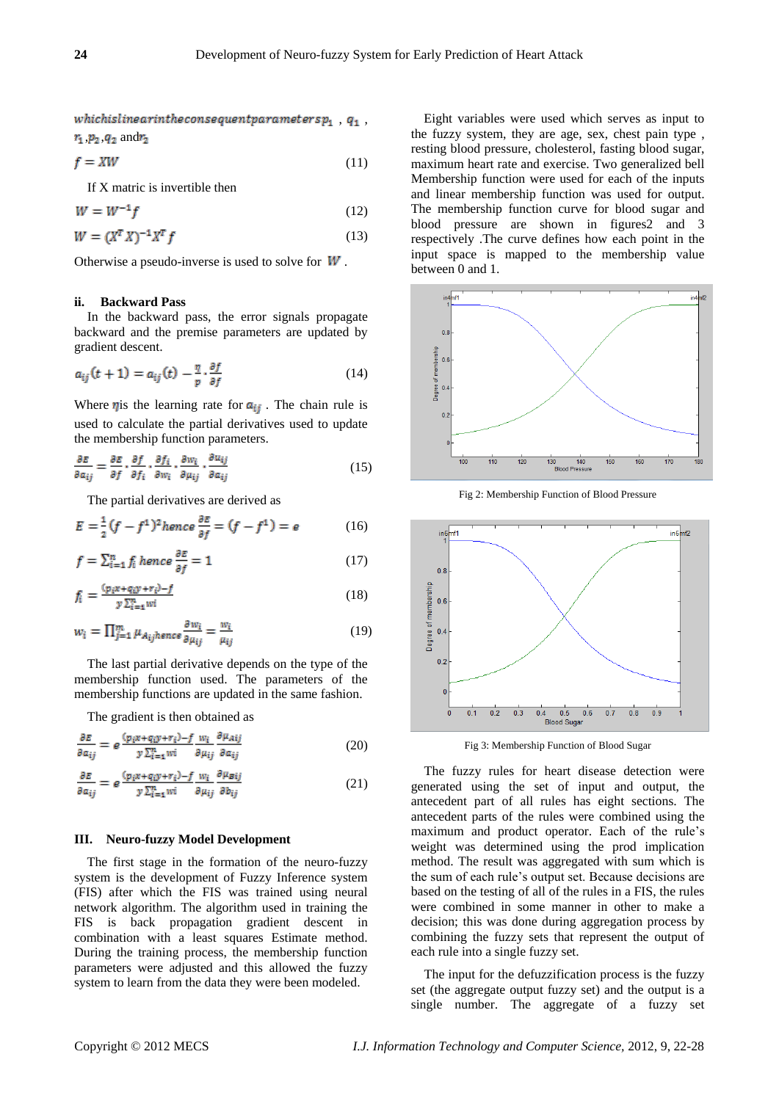whichislinearintheconsequent<br>parameters  $p_1$  ,  $q_1$  ,  $r_1$ ,  $p_2$ ,  $q_2$ , and  $r_2$ 

$$
f = XW \tag{11}
$$

If X matric is invertible then

$$
W = W^{-1}f \tag{12}
$$

$$
W = (X^T X)^{-1} X^T f \tag{13}
$$

Otherwise a pseudo-inverse is used to solve for  $W$ .

#### **ii. Backward Pass**

In the backward pass, the error signals propagate backward and the premise parameters are updated by gradient descent.

$$
a_{ij}(t+1) = a_{ij}(t) - \frac{\eta}{p} \cdot \frac{\partial f}{\partial f} \tag{14}
$$

Where  $\eta$  is the learning rate for  $a_{ij}$ . The chain rule is used to calculate the partial derivatives used to update the membership function parameters.

$$
\frac{\partial E}{\partial a_{ij}} = \frac{\partial E}{\partial f} \cdot \frac{\partial f}{\partial f_i} \cdot \frac{\partial f_i}{\partial w_i} \cdot \frac{\partial w_i}{\partial \mu_{ij}} \cdot \frac{\partial u_{ij}}{\partial a_{ij}} \tag{15}
$$

The partial derivatives are derived as

$$
E = \frac{1}{2}(f - f^1)^2 \text{ hence } \frac{\partial E}{\partial f} = (f - f^1) = e \tag{16}
$$

$$
f = \sum_{i=1}^{n} f_i \text{ hence } \frac{\partial E}{\partial f} = 1 \tag{17}
$$

$$
f_i = \frac{(p_i x + q_i y + r_i) - f}{y \sum_{i=1}^n w_i} \tag{18}
$$

$$
w_i = \prod_{j=1}^{m} \mu_{A_{ij}hence} \frac{\partial w_i}{\partial \mu_{ij}} = \frac{w_i}{\mu_{ij}}
$$
(19)

The last partial derivative depends on the type of the membership function used. The parameters of the membership functions are updated in the same fashion.

The gradient is then obtained as

$$
\frac{\partial E}{\partial a_{ij}} = e^{\frac{(p_i x + q_i y + r_i) - f}{y \sum_{i=1}^{n} wi} \frac{\partial \mu_{Aij}}{\partial \mu_{ij}}}
$$
(20)

$$
\frac{\partial E}{\partial a_{ij}} = e^{\frac{(p_i x + q_i y + r_i) - f}{y \sum_{i=1}^n wi} \frac{\partial \mu_{Bij}}{\partial \mu_{ij}}}
$$
(21)

#### **III. Neuro-fuzzy Model Development**

The first stage in the formation of the neuro-fuzzy system is the development of Fuzzy Inference system (FIS) after which the FIS was trained using neural network algorithm. The algorithm used in training the FIS is back propagation gradient descent in combination with a least squares Estimate method. During the training process, the membership function parameters were adjusted and this allowed the fuzzy system to learn from the data they were been modeled.

Eight variables were used which serves as input to the fuzzy system, they are age, sex, chest pain type , resting blood pressure, cholesterol, fasting blood sugar, maximum heart rate and exercise. Two generalized bell Membership function were used for each of the inputs and linear membership function was used for output. The membership function curve for blood sugar and blood pressure are shown in figures2 and 3 respectively .The curve defines how each point in the input space is mapped to the membership value between 0 and 1.



Fig 2: Membership Function of Blood Pressure



Fig 3: Membership Function of Blood Sugar

The fuzzy rules for heart disease detection were generated using the set of input and output, the antecedent part of all rules has eight sections. The antecedent parts of the rules were combined using the maximum and product operator. Each of the rule's weight was determined using the prod implication method. The result was aggregated with sum which is the sum of each rule's output set. Because decisions are based on the testing of all of the rules in a FIS, the rules were combined in some manner in other to make a decision; this was done during aggregation process by combining the fuzzy sets that represent the output of each rule into a single fuzzy set.

The input for the defuzzification process is the fuzzy set (the aggregate output fuzzy set) and the output is a single number. The aggregate of a fuzzy set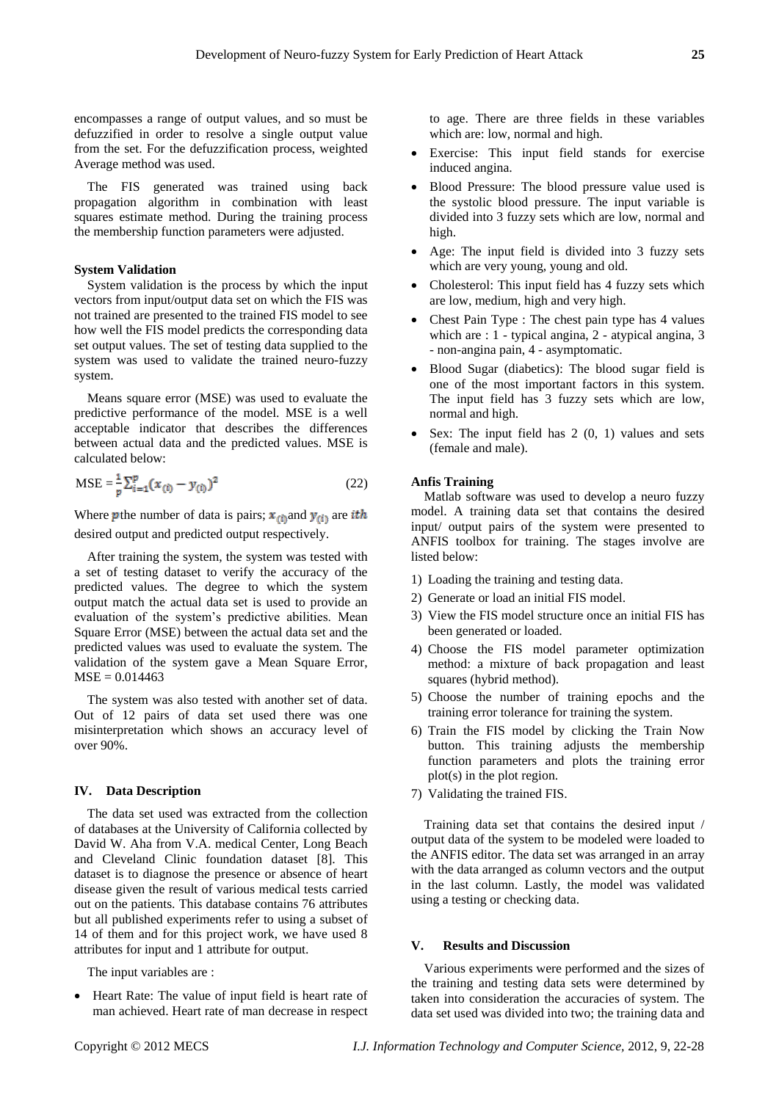encompasses a range of output values, and so must be defuzzified in order to resolve a single output value from the set. For the defuzzification process, weighted Average method was used.

The FIS generated was trained using back propagation algorithm in combination with least squares estimate method. During the training process the membership function parameters were adjusted.

### **System Validation**

System validation is the process by which the input vectors from input/output data set on which the FIS was not trained are presented to the trained FIS model to see how well the FIS model predicts the corresponding data set output values. The set of testing data supplied to the system was used to validate the trained neuro-fuzzy system.

Means square error (MSE) was used to evaluate the predictive performance of the model. MSE is a well acceptable indicator that describes the differences between actual data and the predicted values. MSE is calculated below:

$$
MSE = \frac{1}{p} \sum_{i=1}^{p} (x_{(i)} - y_{(i)})^2
$$
 (22)

Where **p** the number of data is pairs;  $x_{(i)}$  and  $y_{(i)}$  are *ith* desired output and predicted output respectively.

After training the system, the system was tested with a set of testing dataset to verify the accuracy of the predicted values. The degree to which the system output match the actual data set is used to provide an evaluation of the system's predictive abilities. Mean Square Error (MSE) between the actual data set and the predicted values was used to evaluate the system. The validation of the system gave a Mean Square Error,  $MSE = 0.014463$ 

The system was also tested with another set of data. Out of 12 pairs of data set used there was one misinterpretation which shows an accuracy level of over 90%.

#### **IV. Data Description**

The data set used was extracted from the collection of databases at the University of California collected by David W. Aha from V.A. medical Center, Long Beach and Cleveland Clinic foundation dataset [8]. This dataset is to diagnose the presence or absence of heart disease given the result of various medical tests carried out on the patients. This database contains 76 attributes but all published experiments refer to using a subset of 14 of them and for this project work, we have used 8 attributes for input and 1 attribute for output.

The input variables are :

 Heart Rate: The value of input field is heart rate of man achieved. Heart rate of man decrease in respect to age. There are three fields in these variables which are: low, normal and high.

- Exercise: This input field stands for exercise induced angina.
- Blood Pressure: The blood pressure value used is the systolic blood pressure. The input variable is divided into 3 fuzzy sets which are low, normal and high.
- Age: The input field is divided into 3 fuzzy sets which are very young, young and old.
- Cholesterol: This input field has 4 fuzzy sets which are low, medium, high and very high.
- Chest Pain Type : The chest pain type has 4 values which are : 1 - typical angina, 2 - atypical angina, 3 - non-angina pain, 4 - asymptomatic.
- Blood Sugar (diabetics): The blood sugar field is one of the most important factors in this system. The input field has 3 fuzzy sets which are low, normal and high.
- Sex: The input field has 2 (0, 1) values and sets (female and male).

## **Anfis Training**

Matlab software was used to develop a neuro fuzzy model. A training data set that contains the desired input/ output pairs of the system were presented to ANFIS toolbox for training. The stages involve are listed below:

- 1) Loading the training and testing data.
- 2) Generate or load an initial FIS model.
- 3) View the FIS model structure once an initial FIS has been generated or loaded.
- 4) Choose the FIS model parameter optimization method: a mixture of back propagation and least squares (hybrid method).
- 5) Choose the number of training epochs and the training error tolerance for training the system.
- 6) Train the FIS model by clicking the Train Now button. This training adjusts the membership function parameters and plots the training error plot(s) in the plot region.
- 7) Validating the trained FIS.

Training data set that contains the desired input / output data of the system to be modeled were loaded to the ANFIS editor. The data set was arranged in an array with the data arranged as column vectors and the output in the last column. Lastly, the model was validated using a testing or checking data.

# **V. Results and Discussion**

Various experiments were performed and the sizes of the training and testing data sets were determined by taken into consideration the accuracies of system. The data set used was divided into two; the training data and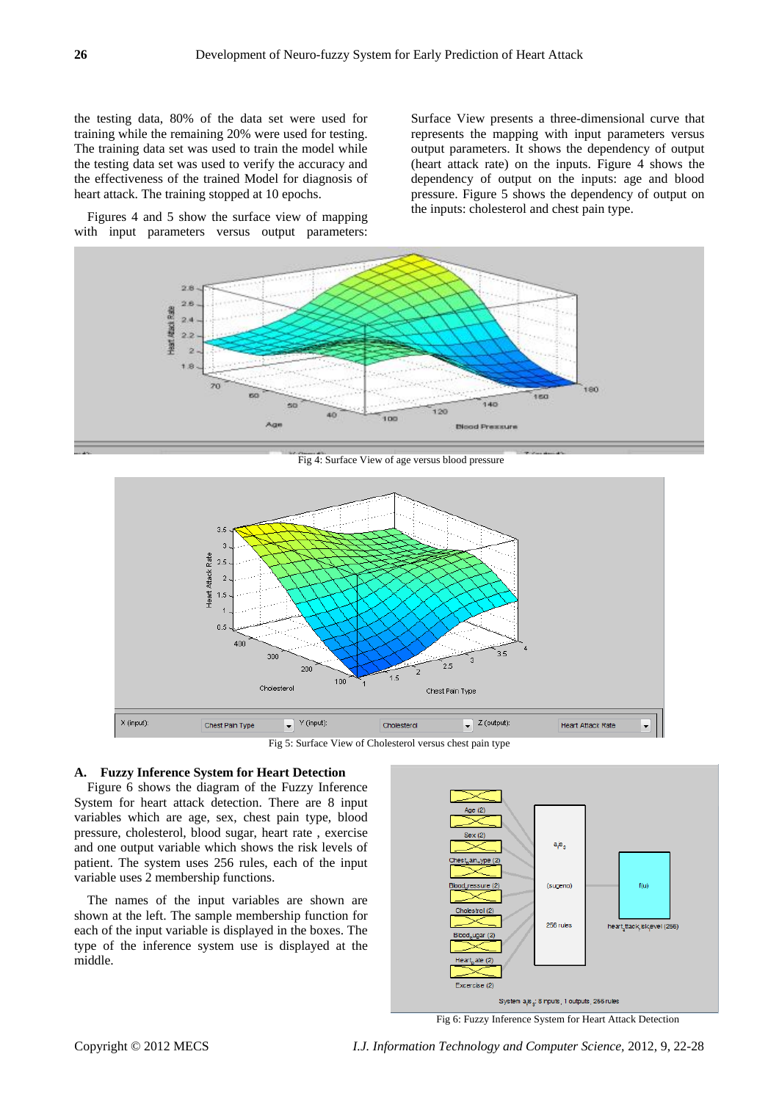the testing data, 80% of the data set were used for training while the remaining 20% were used for testing. The training data set was used to train the model while the testing data set was used to verify the accuracy and the effectiveness of the trained Model for diagnosis of heart attack. The training stopped at 10 epochs.

Figures 4 and 5 show the surface view of mapping with input parameters versus output parameters: Surface View presents a three-dimensional curve that represents the mapping with input parameters versus output parameters. It shows the dependency of output (heart attack rate) on the inputs. Figure 4 shows the dependency of output on the inputs: age and blood pressure. Figure 5 shows the dependency of output on the inputs: cholesterol and chest pain type.



Fig 4: Surface View of age versus blood pressure



Fig 5: Surface View of Cholesterol versus chest pain type

## **A. Fuzzy Inference System for Heart Detection**

Figure 6 shows the diagram of the Fuzzy Inference System for heart attack detection. There are 8 input variables which are age, sex, chest pain type, blood pressure, cholesterol, blood sugar, heart rate , exercise and one output variable which shows the risk levels of patient. The system uses 256 rules, each of the input variable uses 2 membership functions.

The names of the input variables are shown are shown at the left. The sample membership function for each of the input variable is displayed in the boxes. The type of the inference system use is displayed at the middle.



Fig 6: Fuzzy Inference System for Heart Attack Detection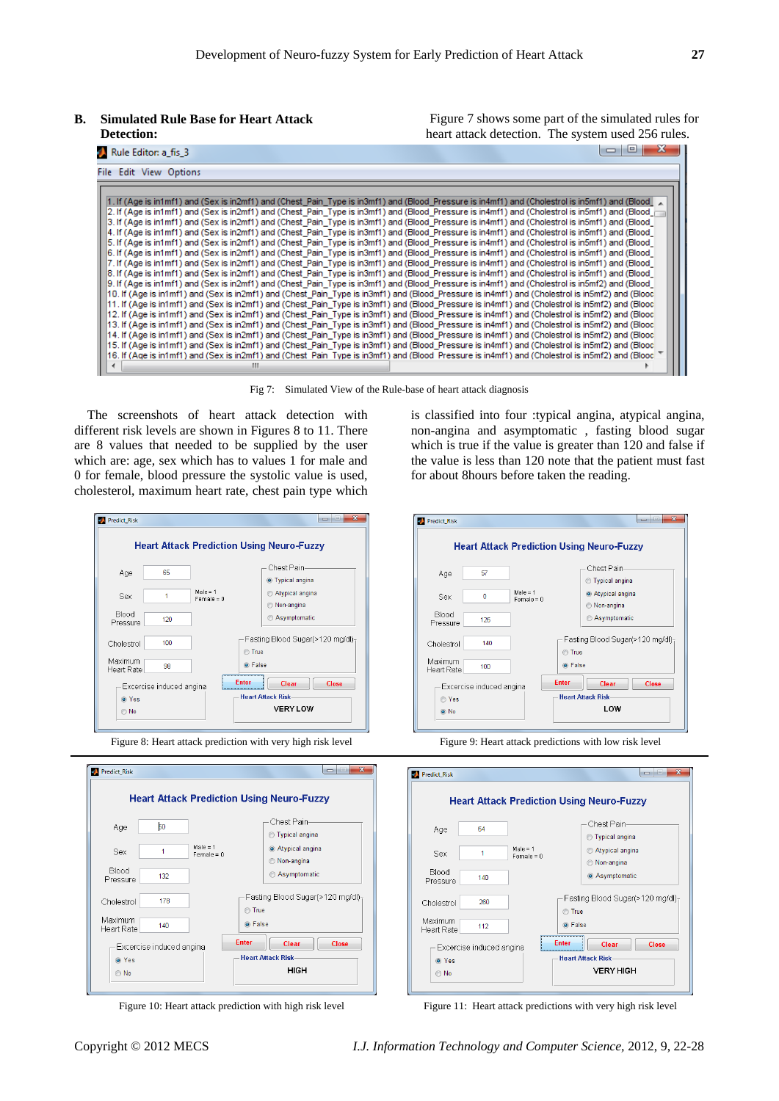**B. Simulated Rule Base for Heart Attack Detection:** 

Figure 7 shows some part of the simulated rules for heart attack detection. The system used 256 rules.

| Rule Editor: a_fis_3                                                                                                                                                                                                                                                                                       | 19 I |
|------------------------------------------------------------------------------------------------------------------------------------------------------------------------------------------------------------------------------------------------------------------------------------------------------------|------|
| File Edit View Options                                                                                                                                                                                                                                                                                     |      |
| 1. If (Age is in1mf1) and (Sex is in2mf1) and (Chest Pain Type is in3mf1) and (Blood Pressure is in4mf1) and (Cholestrol is in5mf1) and (Blood                                                                                                                                                             |      |
| 2. If (Age is in1mf1) and (Sex is in2mf1) and (Chest Pain Type is in3mf1) and (Blood Pressure is in4mf1) and (Cholestrol is in5mf1) and (Blood r<br>3. If (Age is in1mf1) and (Sex is in2mf1) and (Chest Pain Type is in3mf1) and (Blood Pressure is in4mf1) and (Cholestrol is in5mf1) and (Blood         |      |
| 4. If (Age is in1mf1) and (Sex is in2mf1) and (Chest Pain Type is in3mf1) and (Blood Pressure is in4mf1) and (Cholestrol is in5mf1) and (Blood                                                                                                                                                             |      |
| 5. If (Age is in1mf1) and (Sex is in2mf1) and (Chest Pain Type is in3mf1) and (Blood Pressure is in4mf1) and (Cholestrol is in5mf1) and (Blood<br>6. If (Age is in1mf1) and (Sex is in2mf1) and (Chest Pain Type is in3mf1) and (Blood Pressure is in4mf1) and (Cholestrol is in5mf1) and (Blood           |      |
| 7. If (Age is in1mf1) and (Sex is in2mf1) and (Chest_Pain_Type is in3mf1) and (Blood_Pressure is in4mf1) and (Cholestrol is in5mf1) and (Blood_<br>8. If (Age is in1mf1) and (Sex is in2mf1) and (Chest Pain Type is in3mf1) and (Blood Pressure is in4mf1) and (Cholestrol is in5mf1) and (Blood          |      |
| 9. If (Age is in1mf1) and (Sex is in2mf1) and (Chest Pain Type is in3mf1) and (Blood Pressure is in4mf1) and (Cholestrol is in5mf2) and (Blood<br>10. If (Age is in1mf1) and (Sex is in2mf1) and (Chest_Pain_Type is in3mf1) and (Blood_Pressure is in4mf1) and (Cholestrol is in5mf2) and (Blood          |      |
| [11. If (Age is in1mf1) and (Sex is in2mf1) and (Chest Pain Type is in3mf1) and (Blood Pressure is in4mf1) and (Cholestrol is in5mf2) and (Blood<br>[12. If (Age is in1mf1) and (Sex is in2mf1) and (Chest Pain Type is in3mf1) and (Blood Pressure is in4mf1) and (Cholestrol is in5mf2) and (Blood       |      |
| [13. If (Age is in1mf1) and (Sex is in2mf1) and (Chest Pain Type is in3mf1) and (Blood Pressure is in4mf1) and (Cholestrol is in5mf2) and (Blood<br>[14. If (Age is in1mf1) and (Sex is in2mf1) and (Chest Pain Type is in3mf1) and (Blood Pressure is in4mf1) and (Cholestrol is in5mf2) and (Blood       |      |
| [15. If (Age is in1mf1) and (Sex is in2mf1) and (Chest Pain Type is in3mf1) and (Blood Pressure is in4mf1) and (Cholestrol is in5mf2) and (Blood<br>16. If (Age is in1mf1) and (Sex is in2mf1) and (Chest Pain Type is in3mf1) and (Blood Pressure is in4mf1) and (Cholestrol is in5mf2) and (Blood $\top$ |      |
| m.                                                                                                                                                                                                                                                                                                         |      |

Fig 7: Simulated View of the Rule-base of heart attack diagnosis

The screenshots of heart attack detection with different risk levels are shown in Figures 8 to 11. There are 8 values that needed to be supplied by the user which are: age, sex which has to values 1 for male and 0 for female, blood pressure the systolic value is used, cholesterol, maximum heart rate, chest pain type which





is classified into four :typical angina, atypical angina, non-angina and asymptomatic , fasting blood sugar which is true if the value is greater than 120 and false if the value is less than 120 note that the patient must fast for about 8hours before taken the reading.





Figure 10: Heart attack prediction with high risk level Figure 11: Heart attack predictions with very high risk level